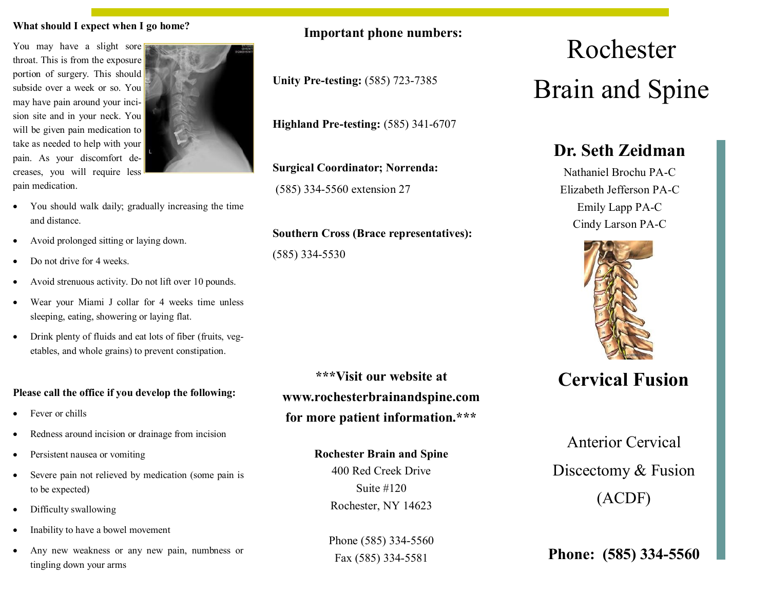#### **What should I expect when I go home?**

You may have a slight sore throat. This is from the exposure portion of surgery. This should subside over a week or so. You may have pain around your incision site and in your neck. You will be given pain medication to take as needed to help with your pain. As your discomfort decreases, you will require less pain medication.



- You should walk daily; gradually increasing the time and distance.
- Avoid prolonged sitting or laying down.
- Do not drive for 4 weeks.
- Avoid strenuous activity. Do not lift over 10 pounds.
- Wear your Miami J collar for 4 weeks time unless sleeping, eating, showering or laying flat.
- Drink plenty of fluids and eat lots of fiber (fruits, vegetables, and whole grains) to prevent constipation.

#### **Please call the office if you develop the following:**

- Fever or chills
- Redness around incision or drainage from incision
- Persistent nausea or vomiting
- Severe pain not relieved by medication (some pain is to be expected)
- Difficulty swallowing
- Inability to have a bowel movement
- Any new weakness or any new pain, numbness or tingling down your arms

**Important phone numbers:**

**Unity Pre-testing:** (585) 723-7385

**Highland Pre-testing:** (585) 341-6707

**Surgical Coordinator; Norrenda:**  (585) 334-5560 extension 27

#### **Southern Cross (Brace representatives):**

(585) 334-5530

**\*\*\*Visit our website at www.rochesterbrainandspine.com for more patient information.\*\*\***

#### **Rochester Brain and Spine**

400 Red Creek Drive Suite #120 Rochester, NY 14623

Phone (585) 334-5560 Fax (585) 334-5581

# Rochester Brain and Spine

# **Dr. Seth Zeidman**

Nathaniel Brochu PA-C Elizabeth Jefferson PA-C Emily Lapp PA-C Cindy Larson PA-C



# **Cervical Fusion**

Anterior Cervical Discectomy & Fusion (ACDF)

**Phone: (585) 334-5560**